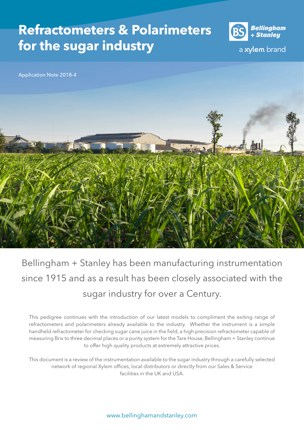# **Refractometers & Polarimeters for the sugar industry**



a xylem brand

Application Note 2018-4



Bellingham + Stanley has been manufacturing instrumentation since 1915 and as a result has been closely associated with the sugar industry for over a Century.

This pedigree continues with the introduction of our latest models to compliment the exiting range of refractometers and polarimeters already available to the industry. Whether the instrument is a simple handheld refractometer for checking sugar cane juice in the field, a high precision refractometer capable of measuring Brix to three decimal places or a purity system for the Tare House, Bellingham + Stanley continue to offer high quality products at extremely attractive prices.

This document is a review of the instrumentation available to the sugar industry through a carefully selected network of regional Xylem offices, local distributors or directly from our Sales & Service facilities in the UK and USA.

www.bellinghamandstanley.com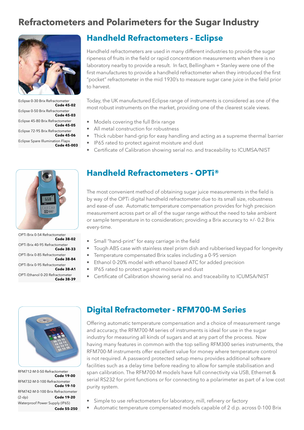# **Refractometers and Polarimeters for the Sugar Industry**



Eclipse 0-30 Brix Refractometer **Code 45-02** Eclipse 0-50 Brix Refractometer **Code 45-03** Eclipse 45-80 Brix Refractometer **Code 45-05**  Eclipse 72-95 Brix Refractometer **Code 45-06**  Eclipse Spare Illumination Flaps **Code 45-003**

### **Handheld Refractometers - Eclipse**

Handheld refractometers are used in many different industries to provide the sugar ripeness of fruits in the field or rapid concentration measurements when there is no laboratory nearby to provide a result. In fact, Bellingham + Stanley were one of the first manufactures to provide a handheld refractometer when they introduced the first "pocket" refractometer in the mid 1930's to measure sugar cane juice in the field prior to harvest.

Today, the UK manufactured Eclipse range of instruments is considered as one of the most robust instruments on the market, providing one of the clearest scale views.

- Models covering the full Brix range
- All metal construction for robustness
- Thick rubber hand-grip for easy handling and acting as a supreme thermal barrier
- IP65 rated to protect against moisture and dust
- Certificate of Calibration showing serial no. and traceability to ICUMSA/NIST



OPTi Brix 0-54 Refractometer **Code 38-02** OPTi Brix 40-95 Refractometer **Code 38-33** OPTi Brix 0-85 Refractometer **Code 38-84** OPTi Brix 0-95 Refractometer **Code 38-A1** OPTi Ethanol 0-20 Refractometer **Code 38-39**

## **Handheld Refractometers - OPTi®**

The most convenient method of obtaining sugar juice measurements in the field is by way of the OPTi digital handheld refractometer due to its small size, robustness and ease-of use. Automatic temperature compensation provides for high precision measurement across part or all of the sugar range without the need to take ambient or sample temperature in to consideration; providing a Brix accuracy to +/- 0.2 Brix every-time.

- Small "hand-print" for easy carriage in the field
- Tough ABS case with stainless steel prism dish and rubberised keypad for longevity
- Temperature compensated Brix scales including a 0-95 version
- Ethanol 0-20% model with ethanol based ATC for added precision
- IP65 rated to protect against moisture and dust
- Certificate of Calibration showing serial no. and traceability to ICUMSA/NIST



RFM712-M 0-50 Refractometer **Code 19-00** RFM732-M 0-100 Refractometer **Code 19-10** RFM742-M 0-100 Brix Refractometer (2-dp) **Code 19-20** Waterproof Power Supply (IP65) **Code 55-250**

#### **Digital Refractometer - RFM700-M Series**

Offering automatic temperature compensation and a choice of measurement range and accuracy, the RFM700-M series of instruments is ideal for use in the sugar industry for measuring all kinds of sugars and at any part of the process. Now having many features in common with the top selling RFM300 series instruments, the RFM700-M instruments offer excellent value for money where temperature control is not required. A password protected setup menu provides additional software facilities such as a delay time before reading to allow for sample stabilisation and span calibration. The RFM700-M models have full connectivity via USB, Ethernet & serial RS232 for print functions or for connecting to a polarimeter as part of a low cost purity system.

- Simple to use refractometers for laboratory, mill, refinery or factory
- Automatic temperature compensated models capable of 2 d.p. across 0-100 Brix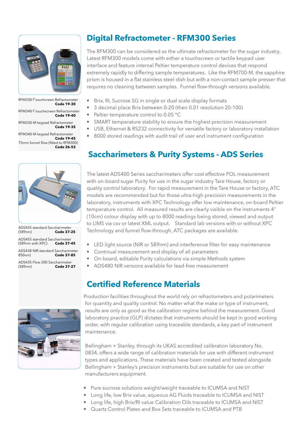

RFM330-T touchcreen Refractometer **Code 19-30**

RFM340-T touchscreen Refractometer **Code 19-40**

RFM330-M keypad Refractometer **Code 19-35**

RFM340-M keypad Refractometer **Code 19-45** 75mm funnel flow (fitted to RFM300) **Code 26-53**



| ADS435 standard Saccharimeter<br>(589nm)                     | <b>Code 37-25</b> |
|--------------------------------------------------------------|-------------------|
| ADS455 standard Saccharimeter<br>(589nm with XPC) Code 37-45 |                   |
| ADS438 NIR standard Saccharimeter<br>850nm)                  | Code 37-85        |
| ADS435 Flow 200 Saccharimeter<br>(589nm)                     | <b>Code 37-27</b> |



### **Digital Refractometer - RFM300 Series**

The RFM300 can be considered as the ultimate refractometer for the sugar industry. Latest RFM300 models come with either a touchscreen or tactile keypad user interface and feature internal Peltier temperature control devices that respond extremely rapidly to differing sample temperatures. Like the RFM700-M, the sapphire prism is housed in a flat stainless steel dish but with a non-contact sample presser that requires no cleaning between samples. Funnel flow-through versions available.

- Brix, RI, Sucrose SG in single or dual scale display formats
- 3 decimal place Brix between 0-20 (then 0.01 resolution 20-100)
- Peltier temperature control to 0.05 °C
- SMART temperature stability to ensure the highest precision measurement
- USB, Ethernet & RS232 connectivity for versatile factory or laboratory installation
- 8000 stored readings with audit trail of user and instrument configuration

## **Saccharimeters & Purity Systems - ADS Series**

The latest ADS400 Series saccharimeters offer cost effective POL measurement with on-board sugar Purity for use in the sugar industry Tare House, factory or quality control laboratory. For rapid measurement in the Tare House or factory, ATC models are recommended but for those ultra-high precision measurements in the laboratory, instruments with XPC Technology offer low maintenance, on-board Peltier temperature control. All measured results are clearly visible on the instruments 4" (10cm) colour display with up to 8000 readings being stored, viewed and output to LIMS via csv or latest XML output. Standard lab versions with or without XPC Technology and funnel flow-through, ATC packages are available.

- LED light source (NIR or 589nm) and interference filter for easy maintenance
- Continual measurement and display of all parameters
- On-board, editable Purity calculations via simple Methods system
- ADS480 NIR versions available for lead-free measurement

## **Certified Reference Materials**

Production facilities throughout the world rely on refractometers and polarimeters for quantity and quality control. No matter what the make or type of instrument, results are only as good as the calibration regime behind the measurement. Good laboratory practice (GLP) dictates that instruments should be kept in good working order, with regular calibration using traceable standards, a key part of instrument maintenance.

Bellingham + Stanley, through its UKAS accredited calibration laboratory No. 0834, offers a wide range of calibration materials for use with different instrument types and applications. These materials have been created and tested alongside Bellingham + Stanley's precision instruments but are suitable for use on other manufacturers equipment.

- Pure sucrose solutions weight/weight traceable to ICUMSA and NIST
- Long life, low Brix value, aqueous AG Fluids traceable to ICUMSA and NIST
- Long life, high Brix/RI value Calibration Oils traceable to ICUMSA and NIST
	- Quartz Control Plates and Box Sets traceable to ICUMSA and PTB